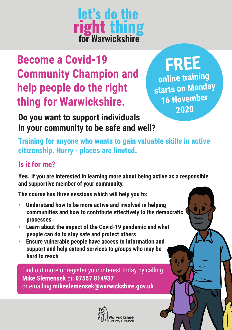**let's do the right thing**<br>for Warwickshire

# **Become a Covid-19 Community Champion and help people do the right thing for Warwickshire.**

**FREE** 

**online training starts on Monday 16 November**

 **<sup>2020</sup>Do you want to support individuals in your community to be safe and well?**

**Training for anyone who wants to gain valuable skills in active citizenship. Hurry - places are limited. .**

# **Is it for me?**

**Yes. If you are interested in learning more about being active as a responsible and supportive member of your community.** 

**The course has three sessions which will help you to:**

- **Understand how to be more active and involved in helping communities and how to contribute effectively to the democratic processes**
- **Learn about the impact of the Covid-19 pandemic and what people can do to stay safe and protect others**
- **Ensure vulnerable people have access to information and support and help extend services to groups who may be hard to reach**

Find out more or register your interest today by calling **Mike Slemensek** on **07557 814937** or emailing **mikeslemensek@warwickshire.gov.uk**